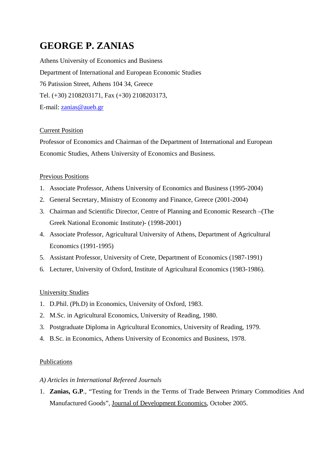# **GEORGE P. ZANIAS**

Athens University of Economics and Business Department of International and European Economic Studies 76 Patission Street, Athens 104 34, Greece Tel. (+30) 2108203171, Fax (+30) 2108203173, E-mail: [zanias@aueb.gr](mailto:zanias@aueb.gr)

# Current Position

Professor of Economics and Chairman of the Department of International and European Economic Studies, Athens University of Economics and Business.

# Previous Positions

- 1. Associate Professor, Athens University of Economics and Business (1995-2004)
- 2. General Secretary, Ministry of Economy and Finance, Greece (2001-2004)
- 3. Chairman and Scientific Director, Centre of Planning and Economic Research –(The Greek National Economic Institute)- (1998-2001)
- 4. Associate Professor, Agricultural University of Athens, Department of Agricultural Economics (1991-1995)
- 5. Assistant Professor, University of Crete, Department of Economics (1987-1991)
- 6. Lecturer, University of Oxford, Institute of Agricultural Economics (1983-1986).

# University Studies

- 1. D.Phil. (Ph.D) in Economics, University of Oxford, 1983.
- 2. M.Sc. in Agricultural Economics, University of Reading, 1980.
- 3. Postgraduate Diploma in Agricultural Economics, University of Reading, 1979.
- 4. B.Sc. in Economics, Athens University of Economics and Business, 1978.

# Publications

# *A) Articles in International Refereed Journals*

1. **Zanias, G.P**., "Testing for Trends in the Terms of Trade Between Primary Commodities And Manufactured Goods", Journal of Development Economics, October 2005.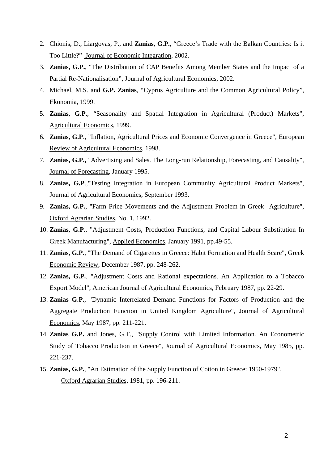- 2. Chionis, D., Liargovas, P., and **Zanias, G.P.**, "Greece's Trade with the Balkan Countries: Is it Too Little?" Journal of Economic Integration, 2002.
- 3. **Zanias, G.P.**, "The Distribution of CAP Benefits Among Member States and the Impact of a Partial Re-Nationalisation", Journal of Agricultural Economics, 2002.
- 4. Michael, M.S. and **G.P. Zanias**, "Cyprus Agriculture and the Common Agricultural Policy", Ekonomia, 1999.
- 5. **Zanias, G.P.**, "Seasonality and Spatial Integration in Agricultural (Product) Markets", Agricultural Economics, 1999.
- 6. **Zanias, G.P**., "Inflation, Agricultural Prices and Economic Convergence in Greece", European Review of Agricultural Economics, 1998.
- 7. **Zanias, G.P.,** "Advertising and Sales. The Long-run Relationship, Forecasting, and Causality", Journal of Forecasting, January 1995.
- 8. **Zanias, G.P**.,"Testing Integration in European Community Agricultural Product Markets", Journal of Agricultural Economics, September 1993.
- 9. **Zanias, G.P.**, "Farm Price Movements and the Adjustment Problem in Greek Agriculture", Oxford Agrarian Studies, No. 1, 1992.
- 10. **Zanias, G.P.**, "Adjustment Costs, Production Functions, and Capital Labour Substitution In Greek Manufacturing", Applied Economics, January 1991, pp.49-55.
- 11. **Zanias, G.P.**, "The Demand of Cigarettes in Greece: Habit Formation and Health Scare", Greek Economic Review, December 1987, pp. 248-262.
- 12. **Zanias, G.P.**, "Adjustment Costs and Rational expectations. An Application to a Tobacco Export Model", American Journal of Agricultural Economics, February 1987, pp. 22-29.
- 13. **Zanias G.P.**, "Dynamic Interrelated Demand Functions for Factors of Production and the Aggregate Production Function in United Kingdom Agriculture", Journal of Agricultural Economics, May 1987, pp. 211-221.
- 14. **Zanias G.P.** and Jones, G.T., "Supply Control with Limited Information. An Econometric Study of Tobacco Production in Greece", Journal of Agricultural Economics, May 1985, pp. 221-237.
- 15. **Zanias, G.P.**, "An Estimation of the Supply Function of Cotton in Greece: 1950-1979", Oxford Agrarian Studies, 1981, pp. 196-211.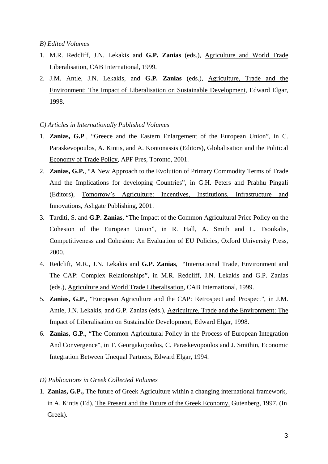#### *B) Edited Volumes*

- 1. M.R. Redcliff, J.N. Lekakis and **G.P. Zanias** (eds.), Agriculture and World Trade Liberalisation, CAB International, 1999.
- 2. J.M. Antle, J.N. Lekakis, and **G.P. Zanias** (eds.), Agriculture, Trade and the Environment: The Impact of Liberalisation on Sustainable Development, Edward Elgar, 1998.

#### *C) Articles in Internationally Published Volumes*

- 1. **Zanias, G.P**., "Greece and the Eastern Enlargement of the European Union", in C. Paraskevopoulos, A. Kintis, and A. Kontonassis (Editors), Globalisation and the Political Economy of Trade Policy, APF Pres, Toronto, 2001.
- 2. **Zanias, G.P.**, "A New Approach to the Evolution of Primary Commodity Terms of Trade And the Implications for developing Countries", in G.H. Peters and Prabhu Pingali (Editors), Tomorrow's Agriculture: Incentives, Institutions, Infrastructure and Innovations, Ashgate Publishing, 2001.
- 3. Tarditi, S. and **G.P. Zanias**, "The Impact of the Common Agricultural Price Policy on the Cohesion of the European Union", in R. Hall, A. Smith and L. Tsoukalis, Competitiveness and Cohesion: An Evaluation of EU Policies, Oxford University Press, 2000.
- 4. Redclift, M.R., J.N. Lekakis and **G.P. Zanias**, "International Trade, Environment and The CAP: Complex Relationships", in M.R. Redcliff, J.N. Lekakis and G.P. Zanias (eds.), Agriculture and World Trade Liberalisation, CAB International, 1999.
- 5. **Zanias, G.P.**, "European Agriculture and the CAP: Retrospect and Prospect", in J.M. Antle, J.N. Lekakis, and G.P. Zanias (eds.), Agriculture, Trade and the Environment: The Impact of Liberalisation on Sustainable Development, Edward Elgar, 1998.
- 6. **Zanias, G.P.**, "The Common Agricultural Policy in the Process of European Integration And Convergence", in T. Georgakopoulos, C. Paraskevopoulos and J. Smithin, Economic Integration Between Unequal Partners, Edward Elgar, 1994.

#### *D) Publications in Greek Collected Volumes*

1. **Zanias, G.P.,** The future of Greek Agriculture within a changing international framework, in A. Kintis (Ed), The Present and the Future of the Greek Economy, Gutenberg, 1997. (In Greek).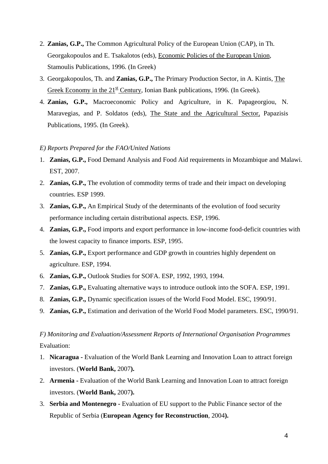- 2. **Zanias, G.P.,** The Common Agricultural Policy of the European Union (CAP), in Th. Georgakopoulos and E. Tsakalotos (eds), Economic Policies of the European Union, Stamoulis Publications, 1996. (In Greek)
- 3. Georgakopoulos, Th. and **Zanias, G.P.,** The Primary Production Sector, in A. Kintis, The Greek Economy in the  $21^{st}$  Century, Ionian Bank publications, 1996. (In Greek).
- 4. **Zanias, G.P.,** Macroeconomic Policy and Agriculture, in K. Papageorgiou, N. Maravegias, and P. Soldatos (eds), The State and the Agricultural Sector, Papazisis Publications, 1995. (In Greek).

# *E) Reports Prepared for the FAO/United Nations*

- 1. **Zanias, G.P.,** Food Demand Analysis and Food Aid requirements in Mozambique and Malawi. EST, 2007.
- 2. **Zanias, G.P.,** The evolution of commodity terms of trade and their impact on developing countries. ESP 1999.
- 3. **Zanias, G.P.,** An Empirical Study of the determinants of the evolution of food security performance including certain distributional aspects. ESP, 1996.
- 4. **Zanias, G.P.,** Food imports and export performance in low-income food-deficit countries with the lowest capacity to finance imports. ESP, 1995.
- 5. **Zanias, G.P.,** Export performance and GDP growth in countries highly dependent on agriculture. ESP, 1994.
- 6. **Zanias, G.P.,** Outlook Studies for SOFA. ESP, 1992, 1993, 1994.
- 7. **Zanias, G.P.,** Evaluating alternative ways to introduce outlook into the SOFA. ESP, 1991.
- 8. **Zanias, G.P.,** Dynamic specification issues of the World Food Model. ESC, 1990/91.
- 9. **Zanias, G.P.,** Estimation and derivation of the World Food Model parameters. ESC, 1990/91.

# *F) Monitoring and Evaluation/Assessment Reports of International Organisation Programmes*  Evaluation:

- 1. **Nicaragua** Evaluation of the World Bank Learning and Innovation Loan to attract foreign investors. (**World Bank,** 2007**).**
- 2. **Armenia** Evaluation of the World Bank Learning and Innovation Loan to attract foreign investors. (**World Bank,** 2007**).**
- 3. **Serbia and Montenegro** Evaluation of EU support to the Public Finance sector of the Republic of Serbia (**European Agency for Reconstruction**, 2004**).**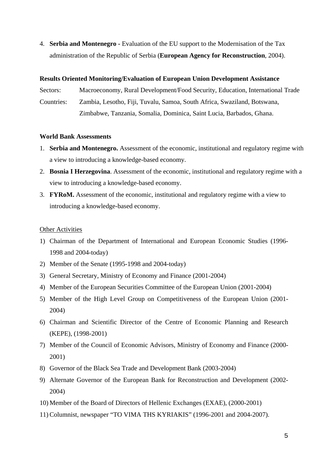4. **Serbia and Montenegro -** Evaluation of the EU support to the Modernisation of the Tax administration of the Republic of Serbia (**European Agency for Reconstruction**, 2004).

# **Results Oriented Monitoring/Evaluation of European Union Development Assistance**

Sectors: Macroeconomy, Rural Development/Food Security, Education, International Trade Countries: Zambia, Lesotho, Fiji, Tuvalu, Samoa, South Africa, Swaziland, Botswana,

Zimbabwe, Tanzania, Somalia, Dominica, Saint Lucia, Barbados, Ghana.

# **World Bank Assessments**

- 1. **Serbia and Montenegro.** Assessment of the economic, institutional and regulatory regime with a view to introducing a knowledge-based economy.
- 2. **Bosnia I Herzegovina**. Assessment of the economic, institutional and regulatory regime with a view to introducing a knowledge-based economy.
- 3. **FYRoM.** Assessment of the economic, institutional and regulatory regime with a view to introducing a knowledge-based economy.

# Other Activities

- 1) Chairman of the Department of International and European Economic Studies (1996- 1998 and 2004-today)
- 2) Member of the Senate (1995-1998 and 2004-today)
- 3) General Secretary, Ministry of Economy and Finance (2001-2004)
- 4) Member of the European Securities Committee of the European Union (2001-2004)
- 5) Member of the High Level Group on Competitiveness of the European Union (2001- 2004)
- 6) Chairman and Scientific Director of the Centre of Economic Planning and Research (KEPE), (1998-2001)
- 7) Member of the Council of Economic Advisors, Ministry of Economy and Finance (2000- 2001)
- 8) Governor of the Black Sea Trade and Development Bank (2003-2004)
- 9) Alternate Governor of the European Bank for Reconstruction and Development (2002- 2004)
- 10) Member of the Board of Directors of Hellenic Exchanges (EXAE), (2000-2001)
- 11) Columnist, newspaper "TO VIMA THS KYRIAKIS" (1996-2001 and 2004-2007).